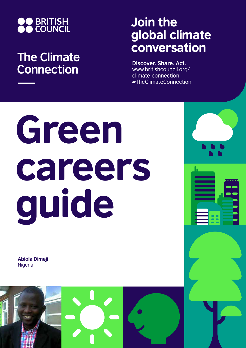

## **The Climate Connection**

## Join the global climate conversation

**Discover. Share. Act.** www.britishcouncil.org/ climate-connection #TheClimateConnection

# Green careers guide

**Abiola Dimeji Nigeria** 

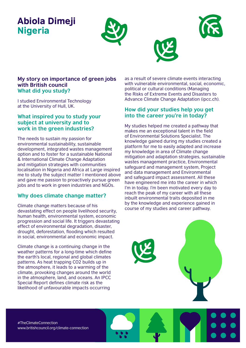### Abiola Dimeji Nigeria







#### **My story on importance of green jobs with British council What did you study?**

I studied Environmental Technology at the University of Hull, UK.

#### **What inspired you to study your subject at university and to work in the green industries?**

The needs to sustain my passion for environmental sustainability, sustainable development, integrated wastes management option and to foster for a sustainable National & International Climate Change Adaptation and mitigation strategies with communities localisation in Nigeria and Africa at Large inspired me to study the subject matter I mentioned above and gave me passion to proactively pursue green jobs and to work in green industries and NGOs.

#### **Why does climate change matter?**

Climate change matters because of his devastating effect on people livelihood security, human health, environmental system, economic progression and social life. It triggers devastating effect of environmental degradation, disaster, drought, deforestation, flooding which resulted in social, environmental and economic impact.

Climate change is a continuing change in the weather patterns for a long-time which define the earth's local, regional and global climates patterns. As heat trapping CO2 builds up in the atmosphere, it leads to a warming of the climate, provoking changes around the world in the atmosphere, land, and oceans. An IPCC Special Report defines climate risk as the likelihood of unfavourable impacts occurring

as a result of severe climate events interacting with vulnerable environmental, social, economic, political or cultural conditions (Managing the Risks of Extreme Events and Disasters to Advance Climate Change Adaptation (ipcc.ch).

#### **How did your studies help you get into the career you're in today?**

My studies helped me created a pathway that makes me an exceptional talent in the field of Environmental Solutions Specialist. The knowledge gained during my studies created a platform for me to easily adapted and increase my knowledge in area of Climate change mitigation and adaptation strategies, sustainable wastes management practice, Environmental safeguard and management system, Project and data management and Environmental and safeguard impact assessment. All these have engineered me into the career in which I'm in today. I'm been motivated every day to reach the peak of my career with all these inbuilt environmental traits deposited in me by the knowledge and experience gained in course of my studies and career pathway.

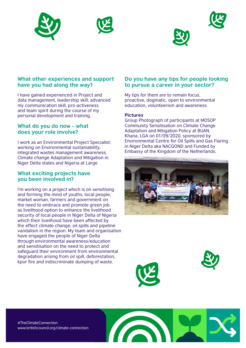





#### **What other experiences and support have you had along the way?**

I have gained experienced in Project and data management, leadership skill, advanced my communication skill, pro-activeness and team spirit during the course of my personal development and training.

#### **What do you do now – what does your role involve?**

I work as an Environmental Project Specialist: working on Environmental sustainability, integrated wastes management awareness, Climate change Adaptation and Mitigation in Niger Delta states and Nigeria at Large

#### **What exciting projects have you been involved in?**

I'm working on a project which is on sensitising and forming the mind of youths, local people, market woman, farmers and government on the need to embrace and promote green job as livelihood option to enhance the livelihood security of local people in Niger Delta of Nigeria which their livelihood have been affected by the effect climate change, oil spills and pipeline vandalism in the region. My team and organisation have engaged the people of Niger Delta through environmental awareness/education and sensitisation on the need to protect and safeguard their environment from environmental degradation arising from oil spill, deforestation, kpor fire and indiscriminate dumping of waste.

#### **Do you have any tips for people looking to pursue a career in your sector?**

My tips for them are to remain focus, proactive, dogmatic, open to environmental education, volunteerism and awareness.

#### **Pictures**

Group Photograph of participants at MOSOP Community Sensitisation on Climate Change Adaptation and Mitigation Policy at BUAN, Khana, LGA on 01/09/2020, sponsored by Environmental Centre for Oil Spills and Gas Flaring in Niger Delta aka NACGOND and Funded by Embassy of the Kingdom of the Netherlands.







#TheClimateConnection www.britishcouncil.org/climate-connection